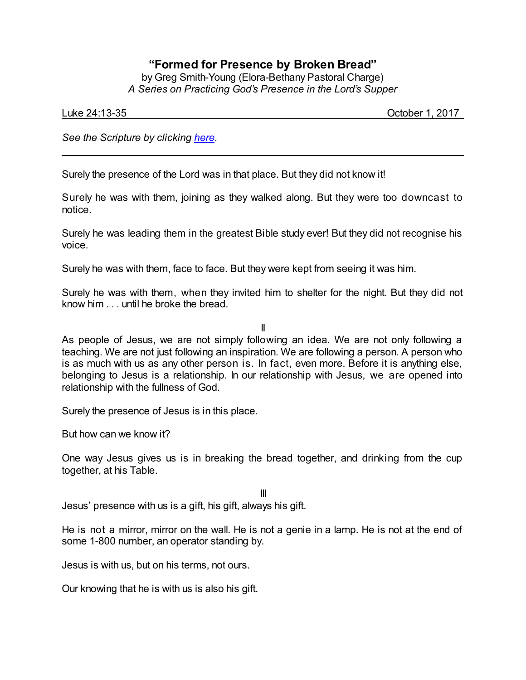## **"Formed for Presence by Broken Bread"**

by Greg Smith-Young (Elora-Bethany Pastoral Charge) *A Series on Practicing God's Presence in the Lord's Supper*

Luke 24:13-35 October 1, 2017

*See the Scripture by clicking [here](https://www.biblegateway.com/passage/?search=Luke+24%3A13-35&version=CEB).*

Surely the presence of the Lord was in that place. But they did not know it!

Surely he was with them, joining as they walked along. But they were too downcast to notice.

Surely he was leading them in the greatest Bible study ever! But they did not recognise his voice.

Surely he was with them, face to face. But they were kept from seeing it was him.

Surely he was with them, when they invited him to shelter for the night. But they did not know him . . . until he broke the bread.

II

As people of Jesus, we are not simply following an idea. We are not only following a teaching. We are not just following an inspiration. We are following a person. A person who is as much with us as any other person is. In fact, even more. Before it is anything else, belonging to Jesus is a relationship. In our relationship with Jesus, we are opened into relationship with the fullness of God.

Surely the presence of Jesus is in this place.

But how can we know it?

One way Jesus gives us is in breaking the bread together, and drinking from the cup together, at his Table.

III

Jesus' presence with us is a gift, his gift, always his gift.

He is not a mirror, mirror on the wall. He is not a genie in a lamp. He is not at the end of some 1-800 number, an operator standing by.

Jesus is with us, but on his terms, not ours.

Our knowing that he is with us is also his gift.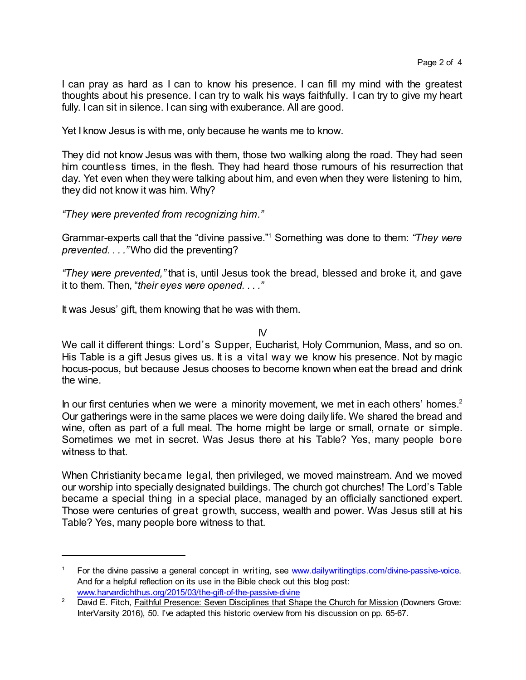I can pray as hard as I can to know his presence. I can fill my mind with the greatest thoughts about his presence. I can try to walk his ways faithfully. I can try to give my heart fully. I can sit in silence. I can sing with exuberance. All are good.

Yet I know Jesus is with me, only because he wants me to know.

They did not know Jesus was with them, those two walking along the road. They had seen him countless times, in the flesh. They had heard those rumours of his resurrection that day. Yet even when they were talking about him, and even when they were listening to him, they did not know it was him. Why?

*"They were prevented from recognizing him."*

Grammar-experts call that the "divine passive." <sup>1</sup> Something was done to them: *"They were prevented. . . ."* Who did the preventing?

*"They were prevented,"* that is, until Jesus took the bread, blessed and broke it, and gave it to them. Then, "*their eyes were opened. . . ."*

It was Jesus' gift, them knowing that he was with them.

 $\mathsf{N}$ 

We call it different things: Lord's Supper, Eucharist, Holy Communion, Mass, and so on. His Table is a gift Jesus gives us. It is a vital way we know his presence. Not by magic hocus-pocus, but because Jesus chooses to become known when eat the bread and drink the wine.

In our first centuries when we were a minority movement, we met in each others' homes.<sup>2</sup> Our gatherings were in the same places we were doing daily life. We shared the bread and wine, often as part of a full meal. The home might be large or small, ornate or simple. Sometimes we met in secret. Was Jesus there at his Table? Yes, many people bore witness to that.

When Christianity became legal, then privileged, we moved mainstream. And we moved our worship into specially designated buildings. The church got churches! The Lord's Table became a special thing in a special place, managed by an officially sanctioned expert. Those were centuries of great growth, success, wealth and power. Was Jesus still at his Table? Yes, many people bore witness to that.

For the divine passive a general concept in writing, see [www.dailywritingtips.com/divine-passive-voice](https://www.dailywritingtips.com/divine-passive-voice/). And for a helpful reflection on its use in the Bible check out this blog post: [www.harvardichthus.org/2015/03/the-gift-of-the-passive-divine](http://www.harvardichthus.org/2015/03/the-gift-of-the-passive-divine/)

<sup>&</sup>lt;sup>2</sup> David E. Fitch, Faithful Presence: Seven Disciplines that Shape the Church for Mission (Downers Grove: InterVarsity 2016), 50. I've adapted this historic overview from his discussion on pp. 65-67.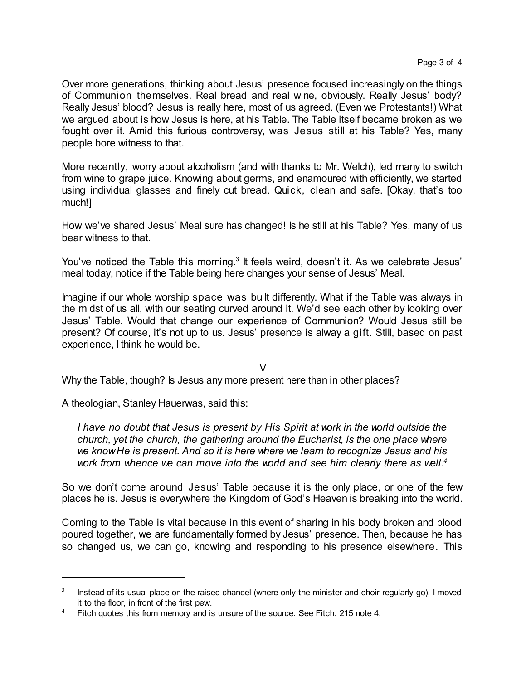Over more generations, thinking about Jesus' presence focused increasingly on the things of Communion themselves. Real bread and real wine, obviously. Really Jesus' body? Really Jesus' blood? Jesus is really here, most of us agreed. (Even we Protestants!) What we argued about is how Jesus is here, at his Table. The Table itself became broken as we fought over it. Amid this furious controversy, was Jesus still at his Table? Yes, many people bore witness to that.

More recently, worry about alcoholism (and with thanks to Mr. Welch), led many to switch from wine to grape juice. Knowing about germs, and enamoured with efficiently, we started using individual glasses and finely cut bread. Quick, clean and safe. [Okay, that's too much!]

How we've shared Jesus' Meal sure has changed! Is he still at his Table? Yes, many of us bear witness to that.

You've noticed the Table this morning.<sup>3</sup> It feels weird, doesn't it. As we celebrate Jesus' meal today, notice if the Table being here changes your sense of Jesus' Meal.

Imagine if our whole worship space was built differently. What if the Table was always in the midst of us all, with our seating curved around it. We'd see each other by looking over Jesus' Table. Would that change our experience of Communion? Would Jesus still be present? Of course, it's not up to us. Jesus' presence is alway a gift. Still, based on past experience, I think he would be.

V

Why the Table, though? Is Jesus any more present here than in other places?

A theologian, Stanley Hauerwas, said this:

*I have no doubt that Jesus is present by His Spirit at work in the world outside the church, yet the church, the gathering around the Eucharist, is the one place where we knowHe is present. And so it is here where we learn to recognize Jesus and his work from whence we can move into the world and see him clearly there as well. 4*

So we don't come around Jesus' Table because it is the only place, or one of the few places he is. Jesus is everywhere the Kingdom of God's Heaven is breaking into the world.

Coming to the Table is vital because in this event of sharing in his body broken and blood poured together, we are fundamentally formed by Jesus' presence. Then, because he has so changed us, we can go, knowing and responding to his presence elsewhere. This

<sup>3</sup> Instead of its usual place on the raised chancel (where only the minister and choir regularly go), I moved it to the floor, in front of the first pew.

<sup>&</sup>lt;sup>4</sup> Fitch quotes this from memory and is unsure of the source. See Fitch, 215 note 4.